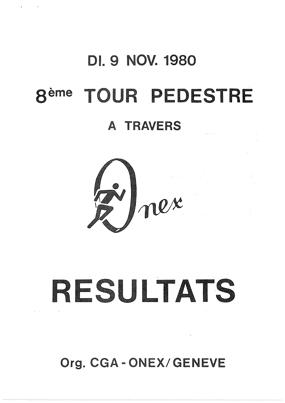## **DI. 9 NOV. 1980** TOUR PEDESTRE **gème**

 $\bar{q}$ 

### A TRAVERS



# RESULTATS

Org. CGA-ONEX/GENEVE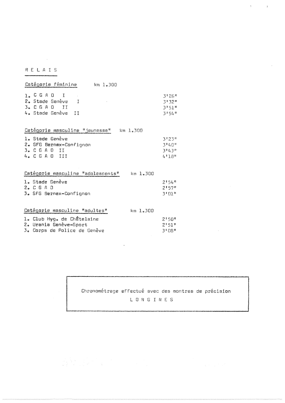#### RELAIS

 $\sim 10^{-1}$ 

| Catégorie féminine<br>km 1.300                |          |
|-----------------------------------------------|----------|
| $l_e$ C G A D I                               | 3126#    |
| 2. Stade Genève I                             | 3132"    |
| 3. C G A O II                                 | 31571    |
| 4. Stade Genève II                            | 3154"    |
| Catégorie masculine "jeunesse" km 1.300       |          |
| 1. Stade Genève                               | 3123#    |
| 2. SFG Bernex-Confignon                       | 31401    |
| 3. C G A O II                                 | 31431    |
| 4.  C G A O III                               | 4118n    |
| Catégorie masculine "adolescents"<br>km 1.300 |          |
| l. Stade Genève                               | 2154#    |
| 2. C G A O                                    | 2!57"    |
| 3. SFG Bernex-Confignon                       | $3!01^n$ |

| Catéoorie masculine "adultes" | $km$ 1.300 |  |
|-------------------------------|------------|--|
| l. Club Hyg. de Châtelaine    | 21501      |  |
| 2. Urania Genève-Sport        | 2151"      |  |
| 3. Corps de Police de Genève  | 31 NA      |  |

による。<br>「現在する」の場合には、「Windows」ということになる。<br>「要求」をしないポートをしている。

 $\sim 10^4$ 

Chronométrage effectué avec des montres de précision L O N G I N E S

 $\sim$   $\sim$ 

 $\mathcal{R}^{\text{max}}_{\text{max}}$ 

 $\hat{\mathcal{A}}$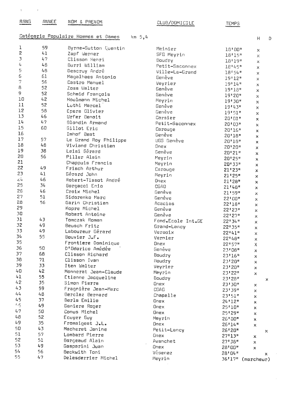| RANG                            | ANNEF                                         | NOM & PRENOM                                                                                                                                | CLUB/DOMICILE                                                                            |
|---------------------------------|-----------------------------------------------|---------------------------------------------------------------------------------------------------------------------------------------------|------------------------------------------------------------------------------------------|
|                                 |                                               | Catégorie Populaire Hommes et Dames<br>$km$ 5,4                                                                                             |                                                                                          |
| 2<br>3<br>4<br>5<br>6<br>7<br>В | 59<br>41<br>47<br>48<br>48<br>61<br>56<br>-52 | Byrne-Sutton Quentin<br>Zapf Werner<br>Clisson Henri<br>Burri William<br>Descruy André<br>Magalhaes Antonio<br>Castro Manuel<br>Zoss Walter | Meinier<br>SFG Meyrin<br>Boudry<br>Petit-Saconney<br>Ville-La-Grand<br>Genève<br>Veyrier |
| 9                               | 52.                                           | Schmid Erancois                                                                                                                             | Genève<br>$R$ nnoun                                                                      |

Schmid François

Houlmann Michel

Luthi Marcel

Urfer Benoit

Gillot Eric

Leisi Gérard

Piller Alain

Frisch Arthur

Borgacci Enio

Sidorenko Marc

Robert Antoine

Laboureur Gérard

D'Odorico Amédée

Clisson Richard

Frantiere Dominique

Monnerat Jean-Claude

Etienne Jacqueline

Fragnière Jean-Marc

Berclaz Bernard

Tomczak Roman

Beusch Fritz

Bouvier J.F.

Clisson Ivan

Iten Walter

Simon Pierre

Berla Emilio

Ganiere Roger

Fromaigeat J.L.

Macheret Janine

Lombard Pierre

Borgeaud Alain

Gasparini Juan

Delesderrier Michel

Beckwith Toni

Conus Michel

Ecuyer Guy

Garin Christian

Croix Michel

Kapre Michel

Gérard John

Imhof Beat

Epars Olivier

Blondin Armand

Le Grand Roy Philippe

Viviand Christian

Chappuis Francis

Robert-Tissot André

 $\mathcal{C}$ 

 $10$ 

11

 $12$ 

 $13$ 

 $14$ 

15

16

17

 $18$ 

19

20

21

22

23

 $\vec{c}$ 4

25

26

27

28

29

 $30$ 

31

32

33

34

35

36

37

38

39

 $40$ 

 $41$ 

 $42^{1}$ 

 $43$ 

 $l_4 l_4$ 

45

 $5<sub>5</sub>$ 

 $47$ 

 $48$ 

49

50

51

52

53

 $54$ 

55

 $\sim$   $\sim$   $\,$ 

52

 $42$ 

52

 $5B$ 

46

47

60

57

48

38

56

49

 $41$ 

46

34

46

51

56

43

49

49

55

50

68

71

33

 $42$ 

55

35

59

 $48$ 

37

49

50

52

35

43

57

51

49

56

 $47$ 

| SFG Meyrin        | 18'15"  | ×               |
|-------------------|---------|-----------------|
| Boudry            | 18'19"  | ×               |
| Petit-Saconnex    | 18'45"  | ×               |
| Ville-La-Grand    | 18!54"  | ×               |
| Genève            | 19!12"  | ×               |
| Veyrier           | 19'14"  | ×               |
| Genève            | 19'18"  | ×               |
| Genève            | 19'20"  | ×               |
| Meyrin            | 19'30"  | ×               |
| Genève            | 19143#  | ×               |
| Genève            | 19'51"  | $\times$        |
| Corsier           | 20'01'' | x               |
| Petit-Saconnex    | 20:03"  | ×               |
| Carouge           | 20'16'' | ×               |
| Genève            | 20'18"  | ×               |
| UGS Genève        | 20'18"  | ×               |
| Dnex              | 20'20"  | ×               |
| Genève            | 20'21"  | ×               |
| Meyrin            | 20'25"  | ×               |
| Meyrin            | 20'33"  | ×               |
| Carouge           | 21'23"  | ×               |
| Meyrin            | 21125"  | ×               |
| Onex              | 21'28"  | ×               |
| CGAO              | 21'48"  | ×               |
| Genève            | 21'59"  | ×               |
| Genève            | 22'00"  | ×               |
| Acacias           | 22*18"  | ×               |
| Genève            | 22'23"  | ×               |
| Genève            | 22'27'' | ×               |
| Fond.Ecole Int.GE | 22134"  | x               |
| Grand-Lancy       | 22135"  | ×               |
| Versoix           | 22*41"  | ×               |
| Vermier           | 22148"  | ×               |
| Onex              | 22157#  | Χ               |
| Genève            | 23'08"  | ×               |
| Boudry            | 23'16"  | ×               |
| Boudry            | 23'20"  | ×               |
| Veyrier           | 23*20*  | ×               |
| Meyrin            | 23'22"  | x               |
| Boudry            | 23'28"  | ×               |
| Onex              | 23130"  | ×               |
| CGAO              | 231391  | ×               |
| Chapelle          | 23!51"  | ×               |
| Onex              | 24*12*  | ×               |
| Onex              | 25'10"  | ×               |
| <b>Onex</b>       | 25†29‼  | ×               |
| Meyrin            | 26100"  | ×               |
| Onex              | 26'14"  | ×               |
| Petit-Lancy       | 26'20"  |                 |
| Onex              | 27113"  | ×<br>×          |
| Avanchet          | 27138"  | ×               |
| Onex              | 28'00"  | x               |
| Vésenaz           | 28'04"  |                 |
| Meyrin            | 36'17"  | ×<br>(marcheur) |
|                   |         |                 |
|                   |         |                 |

 $H$ 

 $\bar{x}$ 

**TEMPS** 

18'00"

D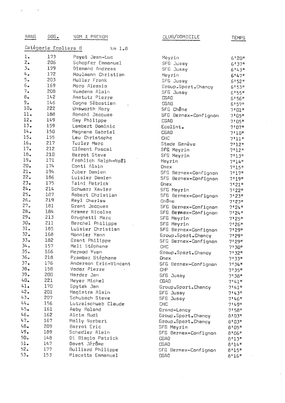| RANG             | DOS.                 | NOM.<br><b>&amp; PRENOM</b>  |
|------------------|----------------------|------------------------------|
|                  | Catégorie Ecoliers B | $km \; 1.8$                  |
| l.               | 173                  | Payot Jean-Luc               |
| 2.               | 206                  | Schopfer Emmanuel            |
| $\overline{3}_4$ | 199                  | Diemand Andreas              |
| 4.               | 172                  | Houlmann Christian           |
| 5.               | 203                  | Muller Frank                 |
| 6.6              | 169                  | Moro Alessio                 |
| 7.1              | 208                  | Vuadens Alain                |
| 8.               | 142                  | Amstutz Pierre               |
| 9.               | 146                  | Cogne Sébastien              |
| 10 <sub>o</sub>  | 222                  | Unsworth Rory                |
| 11.              | 188                  | Ronchi Jacques               |
| 12 <sub>o</sub>  | 149                  | Gay Philippe                 |
| 13.              | 159                  | Lambert Dominic              |
| 14 <sub>o</sub>  | 150                  | Magnena Gabriel              |
| 15.              | 155                  | Leu Christophe               |
| 16 <sub>o</sub>  | 217                  | Turler Marc                  |
| 17.              | 212                  | Clément Pascal               |
| 18.              | 210                  | Barrot Steve                 |
| 19.              | 171                  | Frohlich Ralph-Noël          |
| 20.              | 174                  | Conti Alain                  |
| 21.              | 194                  | Zuber Damien                 |
| $22 -$           | 186                  | Luisier Damien               |
| $23 -$           | 175                  | Taini Patrick                |
| 24.              | 214                  | Schwarz Xavier               |
| 25 <sub>o</sub>  | 187                  | Robert Christian             |
| 26.5             | 219                  | Reyl Charles                 |
| 27 <sub>e</sub>  | 181                  | Grant Jacques                |
| 28 <sub>e</sub>  | 184                  | Kramer Nicolas               |
| 29.              | 213                  | Drughetti Marc               |
| 30 <sub>o</sub>  | 211                  | Berchel Philippe             |
| 31.<br>32.       | 185                  | Luisier Christian            |
| 33 <sub>o</sub>  | 168                  | Mannier Yann                 |
| 34.5             | 182<br>157           | Grant Philippe               |
| 35.              | 166                  | Meli Stéphane<br>Mermod Yvan |
| 36 <sub>o</sub>  | 218                  | Pzambaz Stéphane             |
| 37 <sub>o</sub>  | 176                  | Anderson Eric-Vincent        |
| $38-$            | 158                  | Vodoz Pierre                 |
| 39 <sub>o</sub>  | 200                  | Harder Jan                   |
| 40 <sub>o</sub>  | 221                  | Meyer Michel                 |
| 41.              | 170                  | Spytek Jan                   |
| 42.              | 201                  | Magistra Alain               |
| 43.              | 207                  | Schubach Steve               |
| 44.7             | 156                  | Lutzelschwab Claude          |
| 45 <sub>e</sub>  | 161                  | Aeby Roland                  |
| 45.              | 162                  | Alcim Rudi                   |
| 47.              | 167                  | Molly Norbert                |
| 48.              | 209                  | Barrot Eric                  |
| 49.              | 189                  | Schedler Alain               |
| 50 <sub>o</sub>  | 148                  | Di Biagio Patrick            |
| 51.              | 147                  | Davet Jérôme                 |
| 52 <sub>o</sub>  | 177                  | Bulliard Philippe            |
| 53 <sub>e</sub>  | 153                  | Piscetta Emmanuel            |

 $\bar{\imath}$ 

| CLUB/DOMICILE |  |  |  |  |  |  |
|---------------|--|--|--|--|--|--|
|---------------|--|--|--|--|--|--|

TEMPS

 $\bar{z}$  $\bar{\mathcal{E}}$  $\frac{1}{2}$ 

| Meyrin                         | 6'20"                |
|--------------------------------|----------------------|
| SFG Jussy                      | 6137#                |
| SFG Jussy                      | 6*43*                |
| Meyrin                         | 6!47"                |
| <b>SFG</b> Jussy               | 6*52*                |
| Group.Sport.Chancy             | 6153#                |
| SFG<br>Jussy                   | 6!55"                |
| CGAO                           | 6'56"                |
| CGAO                           | 6157#                |
| SFG Ch <b>ê</b> ne             | 7"01"                |
| SFG Bernex-Confignon           | 7"05"                |
| CGAO                           | 7:05"                |
| Ecolint.                       | 71071                |
| CGAD                           | $7*10*$              |
| CHC                            | $7*11"$              |
| Stade Genève                   | 7'12"                |
| SFG Meyrin                     | 7!12"                |
| SFG Meyrin                     |                      |
| Meyrin                         | 7131                 |
| Onex                           | 7114"                |
|                                | 7*15#                |
| SFG Bernex-Confignon           | 7!17"                |
| <b>SFG</b><br>Bernex-Confignon | 7!19"                |
| Onex                           | 7'21''               |
| <b>SFG</b><br>Meyrin           | 71228                |
| <b>SFG</b><br>Bernex-Confignon | 7*23"                |
| Chêne                          | 7*23*                |
| SFG Bernex-Confignon           | 7124#                |
| SFG Bermex-Confignon           | 71241                |
| <b>SFG</b><br>Meyrin           | $7*25*$              |
| SFG Meyrin                     | 7.55                 |
| <b>SFG</b><br>Bernex-Canfignon | 71298                |
| Group.Sport.Chancy             | 7*29*                |
| SFG.<br>Bernex-Canfignan       | 7129#                |
| CHC                            | 7°30"                |
| Group.Sport.Chancy             | 7 32"                |
| Onex                           | 71331                |
| SFG Bernex-Confignon           | 7134 <mark>11</mark> |
| CHP                            | 7135"                |
| SFG Jussy                      | $7138$ ff            |
| CGAO                           | 7:41"                |
| Group.Sport.Dhancy             | 7.41n                |
| SFG Jussy                      | 71431                |
| SFG Jussy                      | 7146#                |
| CHC                            | 7149"                |
|                                | 7 58"                |
| Grand <b>-L</b> ancy           |                      |
| Group.Sport.Chancy             | 8103"                |
| Group.Sport.Chancy             | 8'03"                |
| SFG Meyrin                     | 8'05"                |
| SFG Bernex-Confignon           | 8'06"                |
| CGAD                           | 8113#                |
| CGAO                           | 8'14"                |
| SFG Bernex-Confignon           | 8'15"                |
| CGAO                           | $R$ il $R$           |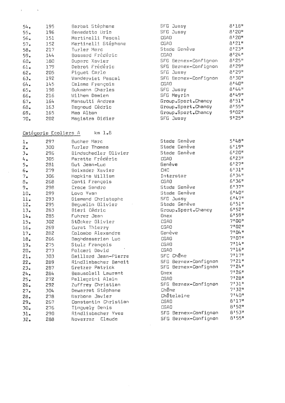| 54.              | 195 | Barbat Stéphane     | SFG Jus     |
|------------------|-----|---------------------|-------------|
| 55a              | 196 | Benedetto Uria      | SFG Jul     |
| 56.              | 151 | Martinelli Pascal   | CGAO.       |
| 5.7 <sub>o</sub> | 152 | Martinelli Stéphane | CGAO -      |
| 58.              | 217 | Turler Marc         | Stade (     |
| 59.              | 144 | Bossard Frédéric    | CGAO        |
| 60 <sub>•</sub>  | 180 | Duparc Xavier       | SFG Be:     |
| 61.              | 179 | Debrot Frédéric     | SFG Be:     |
| $62 -$           | 205 | Piquet Carlo        | SFG Ju:     |
| 63 <sub>o</sub>  | 192 | Vanderviet Pascal   | SFG Be      |
| $64 -$           | 145 | Calame François     | <b>CGAO</b> |
| 65.              | 198 | Bukmann Charles     | SFG Jus     |
| $66\bullet$      | 216 | Wilhem Damien       | SFG Mer     |
| 57 <sub>o</sub>  | 164 | Mansutti Andrea     | Group.      |
| 68 <sub>o</sub>  | 163 | Bagnoud Cédric      | Group.      |
| 69.              | 165 | Mao Alban           | Group.      |
| 70 <sub>o</sub>  | 202 | Magistra Didier     | SFG Ju      |

 $km \; 1.8$ 

Catégorie Ecoliers A

 $\epsilon$ 

 $\mathbf{r}$ 

297 Bucher Marc  $l<sub>z</sub>$ Turler Thomas  $2<sub>a</sub>$ 300 Bindschedler Olivier  $\overline{3}$ . 296 305 Paratte Frédéric  $L_{\rm{e}}$  $5.$ 281 Gut Jean-Luc 279  $6.$ Boixader Xavier  $7<sub>•</sub>$ 306 Hopkins William 268 Conti François  $\beta$ . 298 Croce Sandro  $9.5$  $10.$ 299 Lovo Yvan Diemand Christophe  $11.$ 293  $12.$ 295 Bequelin Olivier Bieri Cédric  $13<sub>e</sub>$ 283 285 Fuhrer Jean  $14.$  $15.$ 302 Stöcker Olivier  $16.$ Curat Thierry 269 282 Colombo Alexandre  $17.$ Baghdassarian Luc 18. 266 275 Stulz François 19.  $20<sub>o</sub>$ 273 Polcari David  $21.$ 303 Gaillard Jean-Pierre  $22.$ 289 Rindlisbacher Benoit Gretzer Patrick  $23.$ 287 Beausoleil Laurent 284  $24.$ Pelleorini Alain 272  $25.$ Zuffrey Christian 26. 292  $27<sub>°</sub>$ 304 Dewarrat Stéphane Narbona Javier 28. 278 Constantin Christian  $29<sub>°</sub>$ 267  $30<sub>o</sub>$ 276 Tinquely Denis  $31.$ Rindlisbacher Yves 290

Noverraz Claude

288

 $32<sub>o</sub>$ 

 $8'18''$ ssy  $8!20"$ ssy 8120#  $B$ <sup>121</sup> Genève  $8'23''$  $8°24"$ rnex-Confignon 8\*25\*  $8!29"$ rnex-Confignon 8'29" gsy  $8*30*$ rnex-Confignon  $8!40"$  $B$  ! 44 " ssy  $B^{t}49^{n}$ nirv 8'51" Sport.Chancy  $8!55"$ Sport.Chancy  $9*02*$ Sport.Chancy  $9!25"$ ssv

|        | Stade Genève         | 5148"                |
|--------|----------------------|----------------------|
|        | Stade Genève         | 6'19''               |
|        | Stade Genève         | 6!20"                |
| CGAD   |                      | 6*23*                |
| Genève |                      | 6127"                |
| CHC    |                      | 6!31"                |
|        | Interstar            | 6†34#                |
| CGAO   |                      | 6*36*                |
|        | Stade Genève         | 6*37*                |
|        | Stade Genève         | 6140"                |
|        | <b>SFG Jussy</b>     | 6!47"                |
|        | Stade Genève         | 6151"                |
|        | Group.Sport.Chancy   | 6!52"                |
| Onex   |                      | 6*59*                |
| CGAO   |                      | $7$ * 00"            |
| CGAO   |                      | 7'02''               |
| Genève |                      | 7!04"                |
| CGAO   |                      | 71071                |
| CGAO   |                      | 7!14"                |
| CGAO   |                      | 7168                 |
|        | SFC Chêne            | 7!17"                |
|        | SFG Bernex-Confignon | 7'21"                |
|        | SFG Bernex-Confignon | 71241                |
| Onex   |                      | 7*26"                |
| CGAO   |                      | 7 # 28 #             |
|        | SFG Bernex-Confignon | 7831#                |
| Chêne  |                      | 7*32"                |
|        | Châtelaine           | $7.140$ <sup>n</sup> |
| CGAO   |                      | 8'17"                |
| CGAO   |                      | 8152#                |
|        | SFG Bernex-Confignon | 8153"                |
| SFG    | Bernex-Confignon     | 8\$55#               |
|        |                      |                      |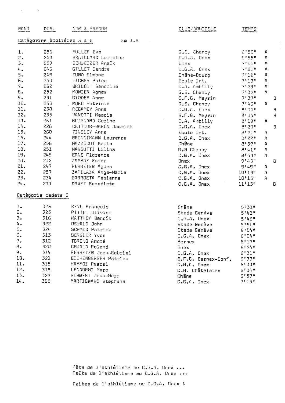| RANG           | DOS.               | NOM & PRENOM                                      | CLUB/DOMICILE                   | TEMPS                        |              |                |
|----------------|--------------------|---------------------------------------------------|---------------------------------|------------------------------|--------------|----------------|
|                |                    | Catégories écolières A & B<br>$km$ $l$ . $\theta$ |                                 |                              |              |                |
| 1.             | 256                | MULLER Eva                                        | $G_{\bullet}S_{\bullet}$ Chancy | 6!50"                        | А            |                |
| 2.             | 243                | BRAILLARD Lorraine                                | $C$ . $G$ . $A$ . Onex          | 6!55"                        | Д            |                |
| 3.             | 259                | SCHWEIZER Analk                                   | Onex                            | $7$ '00"                     | А            |                |
| $\n  l$        | 246                | GILLET Sandra                                     | $C_{*}G_{*}A_{*}$ Onex          | $7*01"$                      | Д            |                |
| 5.             | 249                | ZUND Simone                                       | Chêne-Bourg                     | 7!12"                        | Д            |                |
| 6.             | 250                | EICHER Paige                                      | Ecole Int.                      | 7!13"                        | А            |                |
| 7.             | 262                | BRICOUT Sandrine                                  | $C_*A_*$ Ambilly                | 71291                        | А            |                |
| 8.             | 252                | MONIER Agnes                                      | G.S. Chancy                     | 7:32"                        | А            |                |
| 9.             | 231                | <b>GIDDEY Anne</b>                                | S.F.G. Meyrin                   | 7:37"                        |              | $\mathsf B$    |
| 10.            | 253                | MORO Patricia                                     | G.S. Chancy                     | 7.46                         | $\mu$        |                |
| 11.            | 230                | REGAMEY Anne                                      | $C \cdot G \cdot A \cdot$ Onex  | B I U0 n                     |              | B              |
| 12.            | 235                | VANOTTI Mascia                                    | S.F.G. Meyrin                   | $B^{\dagger}$ $D5^{\dagger}$ |              | Β              |
| 13.            | 261                | GUIGNARD Carine                                   | $C•A•$ Ambilly                  | 8'19''                       | $\mathsf{A}$ |                |
| 14.            | 228                | CETTOUR-BARON Jasmine                             | $C_xG_xA_z$ Onex                | 8120"                        |              | $\mathsf B$    |
| 15.            | 260                | TINSLEY Anne                                      | Ecole Int.                      | 8!21"                        | А            |                |
| 16.            | 244                | BRONNIMANN Laurence                               | $C = G \cdot A$ . Onex          | 8!22"                        | А            |                |
| 17.            | 258                | MAZZOCUT Katia                                    | Chêne                           | 8!37"                        | Α            |                |
| 18.            | 251                | MANSUTTI Lilina                                   | <b>G.S Chancy</b>               | 8:41"                        | А            |                |
| 19.            | 245                | ERNE Florence                                     | $C_*G_*A_*$ Onex                | 8!53"                        | Д            |                |
| 20.            | 232                | ZAMBAZ Ester                                      | Onex                            | 91431                        |              | $\overline{B}$ |
| 21.            | 247                | PERRETEN Agnes                                    | $C_6G_*A_*$ Onex                | 91491                        | A            |                |
| 22.            | 257                | ZAFILAZA Ange-Marie                               | $C•G•A•$ Onex                   | 10'13"                       | $\mathsf{A}$ |                |
| 23.            | 234                | BARROETA Fabienne                                 | $C_6G_6A_6$ Onex                | 10'15''                      | А            |                |
| 24.            | 233                | DAVET Benedicte                                   | C.G.A. Onex                     | 11'13''                      |              | Β              |
|                | Catégorie cadets 8 |                                                   |                                 |                              |              |                |
| l.             | 326                | REYL François                                     | Chêne                           | 5!31"                        |              |                |
| 2.             | 323                | PITTET Dlivier                                    | Stade Genève                    | 51411                        |              |                |
| 3.             | 316                | MATTHEY Benoft                                    | $C•G•A•$ Onex                   | 5!46"                        |              |                |
| 4.             | 322                | <b>OSWALD John</b>                                | Stade Genève                    | $5!50$ <sup>#</sup>          |              |                |
| 5.             | 324                | SCHMID Patrick                                    | Stade Genève                    | 6!04"                        |              |                |
| 6.             | 313                | BERSIER Yves                                      | $C \cdot G \cdot A$ . Onex      | 6!04"                        |              |                |
| 7.             | 312                | TORINO André                                      | Bernex                          | 6!17"                        |              |                |
| 8.             | 320                | OSWALD Roland                                     | Onex                            | 6!24"                        |              |                |
| 9 <sub>z</sub> | 314                | PERRETEN Jean-Gabriel                             | $C - G - A$ . Onex              | 6!31"                        |              |                |
| 10.            | 321                | EICHENBERGER Patrick                              | S.F.G. Bernex-Conf.             | 6!33"                        |              |                |
| 11.            | 315                | HAYMOZ Pascal                                     | C.G.A. Onex                     | 6!33"                        |              |                |
| 12.            | 318                | LENDORMI Marc                                     | C.H. Châtelaine                 | 6!34"                        |              |                |
| 13.            | 327                | SCHWERI Jean-Marc                                 | Chêne                           | 6!57"                        |              |                |
| 14.            | 325                | MARTIGNANO Stephane                               | $C_eG_eA_e$ Onex                | 7!15"                        |              |                |
|                |                    |                                                   |                                 |                              |              |                |

 $\hat{\mathcal{L}}$ 

 $\mathbf{r}^{\left(1\right)}$  ,  $\mathbf{r}^{\left(2\right)}$  ,  $\mathbf{r}^{\left(3\right)}$  ,  $\mathbf{r}^{\left(4\right)}$ 

Fête de l'athlétisme su C.G.A. Onex ... Faîte de l'athlétisme au C.G.A. Onex ...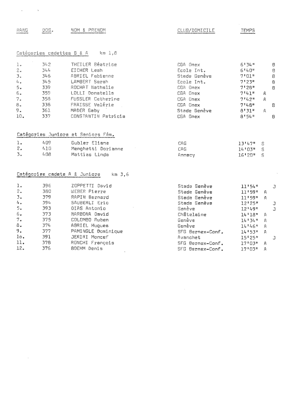CLUB/DOMICILE

**TEMPS** 

RANG DOS. NOM & PRENOM

 $\mathbf{y} = \mathbf{y} \in \mathbb{R}^{d \times d}$ 

#### Catégories cadettes B & A km 1,8

| $\pm a$ | 342. | THEILER Béatrice    | CGA Onex     | 6!34"     | -8             |
|---------|------|---------------------|--------------|-----------|----------------|
| $2 -$   | 344  | EICHER Leah         | Ecole Int.   | 6!40"     | B              |
| 3.1     | 346. | ABRIEL Fabienne     | Stade Genève | 7"01"     | $\overline{B}$ |
| 4.7     | 345  | LAMBERT Sarah       | Ecole Int.   | 7!23"     | $\theta$       |
| 5.      | 339  | ROCHAT Nathalie     | CGA Onex     | $7^{128}$ | $\overline{B}$ |
| 6.      | 359. | LOLLI Donatella     | CGA Onex     | $7*41"$   | А              |
| 7.      | 358  | FUSSLER Catherine   | CGA Onex     | 7142#     | A              |
| 8.      | 338  | FRAISSE Valérie     | CGA Onex     | 7.148n    | B              |
| 9.      | 361  | MADER Gaby          | Stade Genève | 8!31"     | A              |
| 10.     | 337  | CONSTANTIN Patricia | CGA Onex     | 8!54"     | B              |

#### Catégories Juniors et Seniors Fém.

| 1. | 409  | Gubler Eliane      | CAG    | 1314.211 S  |  |
|----|------|--------------------|--------|-------------|--|
|    | 410  | Menghetti Dorianne | CAG.   | $14'03''$ S |  |
| 3. | 408. | Mattias Linda      | Annecy | 16'28" S    |  |

|                          |     | Catégories cadets A & Juniors<br>$km$ $3,6$ |
|--------------------------|-----|---------------------------------------------|
|                          |     |                                             |
| 1.                       | 396 | ZOPPETTI David                              |
| 2.                       | 380 | WEBER Pierre                                |
| $\mathfrak{Z}_{\bullet}$ | 379 | RAPIN Bernard                               |
| 4.                       | 394 | SAUBERLI Eric                               |
| 5.                       | 393 | DIAS Antonio                                |
| б.                       | 373 | NARBONA David                               |
| 7.                       | 375 | COLOMBO Ruben                               |
| 8.                       | 374 | ABRIEL Hugues                               |
| 9.                       | 377 | PAMINGLE Dominique                          |
| lο.                      | 391 | JERIRI Moncef                               |
| 11.                      | 378 | RUNCHI François                             |
| 12.                      | 376 | <b>BOEHM Denis</b>                          |

| Stade Genève     | 11!54"        | ٦. |
|------------------|---------------|----|
| Stade Genève     | 11!59"<br>А   |    |
| Stade Genève     | 11'59"<br>А   |    |
| Stade Genève     | 12'25"        | J  |
| Genève           | 12'49"        | Ĵ. |
| Châtelaine       | $14*18*$<br>А |    |
| Genève           | 14134#<br>Д   |    |
| Genève           | 14'46"<br>А   |    |
| SFG Bernex-Conf. | 141530<br>Д   |    |
| Avanchet         | 15'25"        |    |
| SFG Bernex-Conf. | 17'103''<br>А |    |
| SFG Bernex-Conf. | 17'03''<br>А  |    |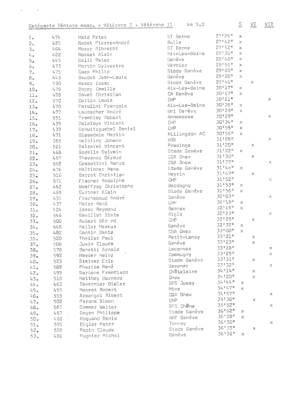|                    |            | Catégorie Séniors masc. + Vétérans I + Vétérans II | $km$ $9a0$    |                                     | 5.           | $\prod_{\text{otherwise}}$ | VII            |
|--------------------|------------|----------------------------------------------------|---------------|-------------------------------------|--------------|----------------------------|----------------|
| 1 <sub>o</sub>     | 474        | Haid Peter                                         | ST Berne      | $27$ <sup>1</sup> $26$ <sup>#</sup> | x            |                            |                |
| 2 <sup>o</sup>     | 425        | Gobet Pierre-André                                 | <b>Bulle</b>  | 271421                              | X.           |                            |                |
| $\mathbb{R}^3$     | 464        | Moser Albrecht                                     | ST Berne      | 271521                              | $\times$     |                            |                |
| $L_{\rm f}$ a      | 422        | Rosset Alain                                       | Aix-Les-Bains | 28136#                              | $\mathbb X$  |                            |                |
| 5 <sub>0</sub>     | 445        | Galli Peter                                        | Genève        | 28'48"                              | $\times$     |                            |                |
| $\mathsf{S}_\Phi$  | 473        | Martin Sylvestre                                   | Vernier       | 28155#                              | x            |                            |                |
| 7 <sub>°</sub>     | 475        | Coex Philip                                        | Stade Genève  | 29'03"                              | ×            |                            |                |
| $B_{\infty}$       | 443        | Baudet Jean-Louis                                  | Genève        | 29128 <sup>8</sup>                  | X            |                            |                |
| 9 <sub>o</sub>     | 530        | Assor Isaac                                        | Stade Genève  | 29146"                              |              | X                          |                |
| 10 <sub>o</sub>    | 479        | Bogey Camille                                      | Aix-Les-Bains | 30'17"                              | X            |                            |                |
| 11.                | 428        | Davel Christian                                    | CA Genève     | 30117"                              | X            |                            |                |
| 12 <sub>o</sub>    | 570        | Cattin Louis                                       | CHP           | 30'21"                              |              |                            | $\times$       |
| 13 <sub>o</sub>    | 478        | Peralini François                                  | Aix-Les-Bains | 30'26"                              | X            |                            |                |
| 14 <sub>o</sub>    | 477        | Laubscher André                                    | Uni Genève    | 30'28"                              | X            |                            |                |
| 15 <sub>e</sub>    | 551        | Tremblay Robert                                    | Annemasse     | 30129#                              |              |                            | ×              |
| 16.                | 435        | Delaloye Vincent                                   | CHP           | 30134#                              | Χ            |                            |                |
| 17 <sub>°</sub>    | 439        | Schwitzquebel Daniel                               | <b>CHP</b>    | $30!55$ <sup>n</sup>                | ×            |                            |                |
| 18.                | 471        | Bleasdale Martin                                   | Hillingdon AC | $30156$ <sup>11</sup>               | $\mu$        |                            |                |
| 19a                | 588        | Helbling Johann                                    | UGS           | 31'09"                              |              |                            | $\times$       |
| 20 <sub>o</sub>    | 521        | Deleaval Vincent                                   | Presinge      | 31'20"                              |              | Х                          |                |
| 21 <sub>o</sub>    | 468        | Gadella Sylvain                                    | Stade Genève  | 31'22"                              | $\times$     |                            |                |
| 22.                | 497        | Thevenoz Gérard                                    | CGA Onex      | 31'30"                              |              | ×                          |                |
| 23a                | 562        | Cossettini Renzo                                   | CGA Onex      | 31137#                              |              |                            | $\mathbb{X}^-$ |
| 24.5               | 476        | Haltinner Hans                                     | Stade Genève  | 31'40"                              | $\times$     |                            |                |
| 25.5               | 516        | Barrot Christian                                   | Meyrin        | 31147#                              |              | X                          |                |
|                    | 571        | Fischer Rodolphe                                   | CHP           | 31'52"                              |              |                            | $\rm \times$   |
| 26.                | 442        | Woeffray Christophe                                | Dardagny      | 31!53"                              | $\mathbb{X}$ |                            |                |
| 27 <sub>o</sub>    | 469        | Gurtner Alain                                      | Stade Genève  | 31'56"                              | $\mathbb X$  |                            |                |
| 28 <sub>o</sub>    | 431        | Fracheboud André                                   | Genève        | 32'03"                              |              |                            | $\times$       |
| 29.                | 437        | Meier René                                         | CHP           | 32115"                              | X            |                            |                |
| 30 <sub>o</sub>    | 424        | Zassa Raymond                                      | Bernex        | 32119#                              | $\times$     |                            |                |
| 31.                | 546        | Gavillet Sixte                                     | Aigle         | 32123#                              |              |                            | ×.             |
| 32 <sub>0</sub>    | 500        | Aubert Gér rd                                      | CHP           | 32129#                              |              | ×                          |                |
| 33 <sub>o</sub>    | 448        | Keller Markus                                      | Genève        | 32!32"                              | ×.           |                            |                |
| 34.                | 482        | Contin Denis                                       | CGA Onex      | 33'00"                              | $\times$     |                            |                |
| 35.                |            | Theiler Paul                                       | Petit-Lancy   | 33121"                              |              | Х                          |                |
| $36*$              | 520        | Juvin Claude                                       | Genève        | 33123#                              |              | $\times$                   |                |
| 37 <sub>e</sub>    | 506<br>578 | Benetti Arnold                                     | Laconnex      | 33'28"                              |              |                            | ×.             |
| 38 <sub>o</sub>    | 592        | Maeder Heinz                                       | Commugny      | 33'29"                              |              |                            | $\mathbb X$    |
| 39 <sub>e</sub>    | 523        | Steiner Eric                                       | Stade Genèvs  | 33'31"                              |              | ×                          |                |
| 40.                |            | Pharisa René                                       | Vesenaz       | 33132#                              |              |                            | X              |
| 41.                | 589        | Narbona Francisco                                  | Châtelaine    | $34.114$ <sup>8</sup>               |              | x                          |                |
| 42.5               | 499        |                                                    | Onex          | 34120"                              |              | $\times$                   |                |
| 43 <sub>e</sub>    | 518        | Matthey Bernard<br>Tavernier Didier                | SFG Jussy     | 34144                               | ×            |                            |                |
| $4\,h$ $_{\oplus}$ | 463        | Massot Robert                                      | Mies          | 34*47*                              | ×            |                            |                |
| 45.                | 455        |                                                    | CGA Onex      | 34157#                              |              |                            | $\times$       |
| 46.                | 555        | Armengol Albert                                    | CHP           | 35130"                              |              | X                          |                |
| 47 <sub>a</sub>    | 502        | Perone Simon                                       | SFG Chêne     | 35152#                              |              |                            | ×              |
| 48 <sub>o</sub>    | 585        | Sommer Walter                                      | Stade Genève  | 36102#                              | $\times$     |                            |                |
| 49.                | 467        | Degen Philippe                                     | AMF Genève    | 36128#                              | X            |                            |                |
| $50*$              | 480        | Roquand Denis                                      | Tannay        | 36*30"                              |              |                            | ×              |
| 51 <sub>o</sub>    | 595        | Bigler Peter                                       | Stade Genève  | 36 55 "                             |              | ×                          |                |
| 52.                | 528        | Rapin Claude                                       | Genève        | 36136#                              | $\times$     |                            |                |
| 53 <sub>o</sub>    | 481        | Mugnier Michel                                     |               |                                     |              |                            |                |

 $\label{eq:2} \varphi_{\rm{max}} = \frac{1}{\sqrt{2}} \sum_{i=1}^{\infty} \frac{1}{\sqrt{2}} \sum_{i=1}^{\infty} \frac{1}{\sqrt{2}} \sum_{i=1}^{\infty} \frac{1}{\sqrt{2}} \sum_{i=1}^{\infty} \frac{1}{\sqrt{2}} \sum_{i=1}^{\infty} \frac{1}{\sqrt{2}} \sum_{i=1}^{\infty} \frac{1}{\sqrt{2}} \sum_{i=1}^{\infty} \frac{1}{\sqrt{2}} \sum_{i=1}^{\infty} \frac{1}{\sqrt{2}} \sum_{i=1}^{\infty} \frac{1}{$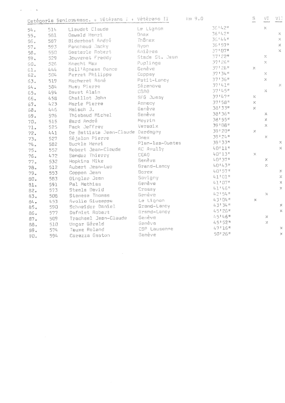| 36 8 4 2 8<br>$\mathbb{R}^{\prime}$<br>Le Lignon<br>Liaudet Claude<br>514<br>54.<br>36 1 4 2 #<br>$\mathbb{X}$<br>Onex<br>Oswald Henri<br>581<br>$55.$<br>36*44#<br>$\mathbb{X}$<br>Thônex<br>Biderbost André<br>587<br>56 <sub>e</sub><br>36*57*<br>$\mathcal{P}'$<br>Nyon<br>593<br>Panchaud Jacky<br>$57$ .<br>37:07*<br>$\mathbb{X}^{\mathbb{Z}}$<br>Anières<br>Gesterle Robert<br>550<br>58.<br>37122#<br>X<br>Stade St. Jean<br>Jouvenet Freddy<br>529<br>$\mathbb{S} \mathbb{S}$ .<br>37126#<br>$\times$<br>Puplinge<br>Knecht Max<br>526<br>50.<br>37126#<br>X<br>Genève<br>Dell'Adnese Danco<br>4.44<br>61.<br>37134#<br>$\mathcal{A}_\mathrm{c}$<br>Coppey<br>Perret Philipps<br>504<br>62.<br>37'36"<br>$\mathbb X$<br>Petit-Lancy<br>Macheret René<br>519<br>63.<br>37:41"<br>X<br>Sézendve<br>Musy Pierre<br>584<br>64.<br>37145#<br>X<br>CGAO<br>Davet Alain<br>494<br>65.<br>37:47"<br>$\mathbb{X}$<br>SFG Jussy<br>Chaillot John<br>458<br>55.<br>37158 <sup>8</sup><br>X.<br>Annecy<br>Marie Pierre<br>423<br>67 <sub>e</sub><br>38133#<br>$\mathbb X$<br>Genève<br>Haisch J.<br>446<br>68.<br>38136#<br>Genève<br>x<br>Thiebaud Michel<br>576<br>69.<br>38155#<br>$\mathbb X$<br>Meyrin<br>Bard André<br>515<br>70.<br>39'08"<br>X<br>Versoix<br>Pack Jeffrey<br>525<br>$71.$<br>39120m<br>$\mathbb X$<br>De Battista Jean-Claude Derdagny<br>441<br>72.<br>391248<br>$\mathbb{X}$<br>Onex<br>Séjalon Pierre<br>73.<br>527<br>39133#<br>$\mathcal{N}$<br>Plan-les-Ouates<br>Burkle Henri<br>582<br>74.<br>40'11"<br>$\mathbb{X}$<br>AC Avully<br>Robert Jean-Claude<br>552<br>75.<br>40'13"<br>$\mathbb X$<br>CGAO<br>Sandoz Thierry<br>472<br>76.<br>40*37#<br>Х<br><b>Genève</b><br>Hopkins Mike<br>532<br>77.<br>40143#<br>X<br>Grand-Lancy<br>Aubert Jean-Luc<br>512<br>78.<br>40'57"<br>$\mathcal{E}$<br>Sorex<br>Coppen Jean<br>553<br>79.<br>$\mathcal{R}$<br>41*01*<br>Savigny<br>Dingler Jean<br>563<br>80.<br>41'07"<br>$\mathbb{X}$<br>Genève<br>591<br>Pal Mathias<br>81.<br>41165<br>$\mathbb{X}$<br>Crassy<br>Steels David<br>$57\,\%$<br>82.4<br>42*54*<br>$\mathbb{R}^2$<br>Genève<br>Stanesa Thomas<br>508<br>83.<br>43104"<br>X<br>Le Lignon<br>Avolio Giuseppe<br>453<br>84.<br>431345<br>x<br>Grand-Lancy<br>Schneider Daniel<br>590<br>85.<br>45126#<br>$\mathbb{X}^2$<br>Grand-Lancy<br>Dafniet Robert<br>577<br>86.<br>45146"<br>×<br>Genève<br>Trachsel Jean-Claude<br>509<br>87.<br>45*52*<br>$\mathbb{X}$<br>Genève<br>Ungar Gérald<br>510<br>88.<br>47116#<br>$\asymp$<br>CSP Lausanne<br>Tauxe Roland<br>574<br>89.<br>50126*<br>$\mathbb{X}$ |     |     | Catégorie Senionamasc. + Vétérans I + Vétérans II |        | km9.0 | $\mathbb{S}$<br>.<br>Autor | WI<br>mana | WI)<br><b>GREVADE ARE</b> |
|---------------------------------------------------------------------------------------------------------------------------------------------------------------------------------------------------------------------------------------------------------------------------------------------------------------------------------------------------------------------------------------------------------------------------------------------------------------------------------------------------------------------------------------------------------------------------------------------------------------------------------------------------------------------------------------------------------------------------------------------------------------------------------------------------------------------------------------------------------------------------------------------------------------------------------------------------------------------------------------------------------------------------------------------------------------------------------------------------------------------------------------------------------------------------------------------------------------------------------------------------------------------------------------------------------------------------------------------------------------------------------------------------------------------------------------------------------------------------------------------------------------------------------------------------------------------------------------------------------------------------------------------------------------------------------------------------------------------------------------------------------------------------------------------------------------------------------------------------------------------------------------------------------------------------------------------------------------------------------------------------------------------------------------------------------------------------------------------------------------------------------------------------------------------------------------------------------------------------------------------------------------------------------------------------------------------------------------------------------------------------------------------------------------------------------------------------------------------------------------------------------------------------------------------------------------------------------------------|-----|-----|---------------------------------------------------|--------|-------|----------------------------|------------|---------------------------|
|                                                                                                                                                                                                                                                                                                                                                                                                                                                                                                                                                                                                                                                                                                                                                                                                                                                                                                                                                                                                                                                                                                                                                                                                                                                                                                                                                                                                                                                                                                                                                                                                                                                                                                                                                                                                                                                                                                                                                                                                                                                                                                                                                                                                                                                                                                                                                                                                                                                                                                                                                                                             |     |     |                                                   |        |       |                            |            |                           |
|                                                                                                                                                                                                                                                                                                                                                                                                                                                                                                                                                                                                                                                                                                                                                                                                                                                                                                                                                                                                                                                                                                                                                                                                                                                                                                                                                                                                                                                                                                                                                                                                                                                                                                                                                                                                                                                                                                                                                                                                                                                                                                                                                                                                                                                                                                                                                                                                                                                                                                                                                                                             |     |     |                                                   |        |       |                            |            |                           |
|                                                                                                                                                                                                                                                                                                                                                                                                                                                                                                                                                                                                                                                                                                                                                                                                                                                                                                                                                                                                                                                                                                                                                                                                                                                                                                                                                                                                                                                                                                                                                                                                                                                                                                                                                                                                                                                                                                                                                                                                                                                                                                                                                                                                                                                                                                                                                                                                                                                                                                                                                                                             |     |     |                                                   |        |       |                            |            |                           |
|                                                                                                                                                                                                                                                                                                                                                                                                                                                                                                                                                                                                                                                                                                                                                                                                                                                                                                                                                                                                                                                                                                                                                                                                                                                                                                                                                                                                                                                                                                                                                                                                                                                                                                                                                                                                                                                                                                                                                                                                                                                                                                                                                                                                                                                                                                                                                                                                                                                                                                                                                                                             |     |     |                                                   |        |       |                            |            |                           |
|                                                                                                                                                                                                                                                                                                                                                                                                                                                                                                                                                                                                                                                                                                                                                                                                                                                                                                                                                                                                                                                                                                                                                                                                                                                                                                                                                                                                                                                                                                                                                                                                                                                                                                                                                                                                                                                                                                                                                                                                                                                                                                                                                                                                                                                                                                                                                                                                                                                                                                                                                                                             |     |     |                                                   |        |       |                            |            |                           |
|                                                                                                                                                                                                                                                                                                                                                                                                                                                                                                                                                                                                                                                                                                                                                                                                                                                                                                                                                                                                                                                                                                                                                                                                                                                                                                                                                                                                                                                                                                                                                                                                                                                                                                                                                                                                                                                                                                                                                                                                                                                                                                                                                                                                                                                                                                                                                                                                                                                                                                                                                                                             |     |     |                                                   |        |       |                            |            |                           |
|                                                                                                                                                                                                                                                                                                                                                                                                                                                                                                                                                                                                                                                                                                                                                                                                                                                                                                                                                                                                                                                                                                                                                                                                                                                                                                                                                                                                                                                                                                                                                                                                                                                                                                                                                                                                                                                                                                                                                                                                                                                                                                                                                                                                                                                                                                                                                                                                                                                                                                                                                                                             |     |     |                                                   |        |       |                            |            |                           |
|                                                                                                                                                                                                                                                                                                                                                                                                                                                                                                                                                                                                                                                                                                                                                                                                                                                                                                                                                                                                                                                                                                                                                                                                                                                                                                                                                                                                                                                                                                                                                                                                                                                                                                                                                                                                                                                                                                                                                                                                                                                                                                                                                                                                                                                                                                                                                                                                                                                                                                                                                                                             |     |     |                                                   |        |       |                            |            |                           |
|                                                                                                                                                                                                                                                                                                                                                                                                                                                                                                                                                                                                                                                                                                                                                                                                                                                                                                                                                                                                                                                                                                                                                                                                                                                                                                                                                                                                                                                                                                                                                                                                                                                                                                                                                                                                                                                                                                                                                                                                                                                                                                                                                                                                                                                                                                                                                                                                                                                                                                                                                                                             |     |     |                                                   |        |       |                            |            |                           |
|                                                                                                                                                                                                                                                                                                                                                                                                                                                                                                                                                                                                                                                                                                                                                                                                                                                                                                                                                                                                                                                                                                                                                                                                                                                                                                                                                                                                                                                                                                                                                                                                                                                                                                                                                                                                                                                                                                                                                                                                                                                                                                                                                                                                                                                                                                                                                                                                                                                                                                                                                                                             |     |     |                                                   |        |       |                            |            |                           |
|                                                                                                                                                                                                                                                                                                                                                                                                                                                                                                                                                                                                                                                                                                                                                                                                                                                                                                                                                                                                                                                                                                                                                                                                                                                                                                                                                                                                                                                                                                                                                                                                                                                                                                                                                                                                                                                                                                                                                                                                                                                                                                                                                                                                                                                                                                                                                                                                                                                                                                                                                                                             |     |     |                                                   |        |       |                            |            |                           |
|                                                                                                                                                                                                                                                                                                                                                                                                                                                                                                                                                                                                                                                                                                                                                                                                                                                                                                                                                                                                                                                                                                                                                                                                                                                                                                                                                                                                                                                                                                                                                                                                                                                                                                                                                                                                                                                                                                                                                                                                                                                                                                                                                                                                                                                                                                                                                                                                                                                                                                                                                                                             |     |     |                                                   |        |       |                            |            |                           |
|                                                                                                                                                                                                                                                                                                                                                                                                                                                                                                                                                                                                                                                                                                                                                                                                                                                                                                                                                                                                                                                                                                                                                                                                                                                                                                                                                                                                                                                                                                                                                                                                                                                                                                                                                                                                                                                                                                                                                                                                                                                                                                                                                                                                                                                                                                                                                                                                                                                                                                                                                                                             |     |     |                                                   |        |       |                            |            |                           |
|                                                                                                                                                                                                                                                                                                                                                                                                                                                                                                                                                                                                                                                                                                                                                                                                                                                                                                                                                                                                                                                                                                                                                                                                                                                                                                                                                                                                                                                                                                                                                                                                                                                                                                                                                                                                                                                                                                                                                                                                                                                                                                                                                                                                                                                                                                                                                                                                                                                                                                                                                                                             |     |     |                                                   |        |       |                            |            |                           |
|                                                                                                                                                                                                                                                                                                                                                                                                                                                                                                                                                                                                                                                                                                                                                                                                                                                                                                                                                                                                                                                                                                                                                                                                                                                                                                                                                                                                                                                                                                                                                                                                                                                                                                                                                                                                                                                                                                                                                                                                                                                                                                                                                                                                                                                                                                                                                                                                                                                                                                                                                                                             |     |     |                                                   |        |       |                            |            |                           |
|                                                                                                                                                                                                                                                                                                                                                                                                                                                                                                                                                                                                                                                                                                                                                                                                                                                                                                                                                                                                                                                                                                                                                                                                                                                                                                                                                                                                                                                                                                                                                                                                                                                                                                                                                                                                                                                                                                                                                                                                                                                                                                                                                                                                                                                                                                                                                                                                                                                                                                                                                                                             |     |     |                                                   |        |       |                            |            |                           |
|                                                                                                                                                                                                                                                                                                                                                                                                                                                                                                                                                                                                                                                                                                                                                                                                                                                                                                                                                                                                                                                                                                                                                                                                                                                                                                                                                                                                                                                                                                                                                                                                                                                                                                                                                                                                                                                                                                                                                                                                                                                                                                                                                                                                                                                                                                                                                                                                                                                                                                                                                                                             |     |     |                                                   |        |       |                            |            |                           |
|                                                                                                                                                                                                                                                                                                                                                                                                                                                                                                                                                                                                                                                                                                                                                                                                                                                                                                                                                                                                                                                                                                                                                                                                                                                                                                                                                                                                                                                                                                                                                                                                                                                                                                                                                                                                                                                                                                                                                                                                                                                                                                                                                                                                                                                                                                                                                                                                                                                                                                                                                                                             |     |     |                                                   |        |       |                            |            |                           |
|                                                                                                                                                                                                                                                                                                                                                                                                                                                                                                                                                                                                                                                                                                                                                                                                                                                                                                                                                                                                                                                                                                                                                                                                                                                                                                                                                                                                                                                                                                                                                                                                                                                                                                                                                                                                                                                                                                                                                                                                                                                                                                                                                                                                                                                                                                                                                                                                                                                                                                                                                                                             |     |     |                                                   |        |       |                            |            |                           |
|                                                                                                                                                                                                                                                                                                                                                                                                                                                                                                                                                                                                                                                                                                                                                                                                                                                                                                                                                                                                                                                                                                                                                                                                                                                                                                                                                                                                                                                                                                                                                                                                                                                                                                                                                                                                                                                                                                                                                                                                                                                                                                                                                                                                                                                                                                                                                                                                                                                                                                                                                                                             |     |     |                                                   |        |       |                            |            |                           |
|                                                                                                                                                                                                                                                                                                                                                                                                                                                                                                                                                                                                                                                                                                                                                                                                                                                                                                                                                                                                                                                                                                                                                                                                                                                                                                                                                                                                                                                                                                                                                                                                                                                                                                                                                                                                                                                                                                                                                                                                                                                                                                                                                                                                                                                                                                                                                                                                                                                                                                                                                                                             |     |     |                                                   |        |       |                            |            |                           |
|                                                                                                                                                                                                                                                                                                                                                                                                                                                                                                                                                                                                                                                                                                                                                                                                                                                                                                                                                                                                                                                                                                                                                                                                                                                                                                                                                                                                                                                                                                                                                                                                                                                                                                                                                                                                                                                                                                                                                                                                                                                                                                                                                                                                                                                                                                                                                                                                                                                                                                                                                                                             |     |     |                                                   |        |       |                            |            |                           |
|                                                                                                                                                                                                                                                                                                                                                                                                                                                                                                                                                                                                                                                                                                                                                                                                                                                                                                                                                                                                                                                                                                                                                                                                                                                                                                                                                                                                                                                                                                                                                                                                                                                                                                                                                                                                                                                                                                                                                                                                                                                                                                                                                                                                                                                                                                                                                                                                                                                                                                                                                                                             |     |     |                                                   |        |       |                            |            |                           |
|                                                                                                                                                                                                                                                                                                                                                                                                                                                                                                                                                                                                                                                                                                                                                                                                                                                                                                                                                                                                                                                                                                                                                                                                                                                                                                                                                                                                                                                                                                                                                                                                                                                                                                                                                                                                                                                                                                                                                                                                                                                                                                                                                                                                                                                                                                                                                                                                                                                                                                                                                                                             |     |     |                                                   |        |       |                            |            |                           |
|                                                                                                                                                                                                                                                                                                                                                                                                                                                                                                                                                                                                                                                                                                                                                                                                                                                                                                                                                                                                                                                                                                                                                                                                                                                                                                                                                                                                                                                                                                                                                                                                                                                                                                                                                                                                                                                                                                                                                                                                                                                                                                                                                                                                                                                                                                                                                                                                                                                                                                                                                                                             |     |     |                                                   |        |       |                            |            |                           |
|                                                                                                                                                                                                                                                                                                                                                                                                                                                                                                                                                                                                                                                                                                                                                                                                                                                                                                                                                                                                                                                                                                                                                                                                                                                                                                                                                                                                                                                                                                                                                                                                                                                                                                                                                                                                                                                                                                                                                                                                                                                                                                                                                                                                                                                                                                                                                                                                                                                                                                                                                                                             |     |     |                                                   |        |       |                            |            |                           |
|                                                                                                                                                                                                                                                                                                                                                                                                                                                                                                                                                                                                                                                                                                                                                                                                                                                                                                                                                                                                                                                                                                                                                                                                                                                                                                                                                                                                                                                                                                                                                                                                                                                                                                                                                                                                                                                                                                                                                                                                                                                                                                                                                                                                                                                                                                                                                                                                                                                                                                                                                                                             |     |     |                                                   |        |       |                            |            |                           |
|                                                                                                                                                                                                                                                                                                                                                                                                                                                                                                                                                                                                                                                                                                                                                                                                                                                                                                                                                                                                                                                                                                                                                                                                                                                                                                                                                                                                                                                                                                                                                                                                                                                                                                                                                                                                                                                                                                                                                                                                                                                                                                                                                                                                                                                                                                                                                                                                                                                                                                                                                                                             |     |     |                                                   |        |       |                            |            |                           |
|                                                                                                                                                                                                                                                                                                                                                                                                                                                                                                                                                                                                                                                                                                                                                                                                                                                                                                                                                                                                                                                                                                                                                                                                                                                                                                                                                                                                                                                                                                                                                                                                                                                                                                                                                                                                                                                                                                                                                                                                                                                                                                                                                                                                                                                                                                                                                                                                                                                                                                                                                                                             |     |     |                                                   |        |       |                            |            |                           |
|                                                                                                                                                                                                                                                                                                                                                                                                                                                                                                                                                                                                                                                                                                                                                                                                                                                                                                                                                                                                                                                                                                                                                                                                                                                                                                                                                                                                                                                                                                                                                                                                                                                                                                                                                                                                                                                                                                                                                                                                                                                                                                                                                                                                                                                                                                                                                                                                                                                                                                                                                                                             |     |     |                                                   |        |       |                            |            |                           |
|                                                                                                                                                                                                                                                                                                                                                                                                                                                                                                                                                                                                                                                                                                                                                                                                                                                                                                                                                                                                                                                                                                                                                                                                                                                                                                                                                                                                                                                                                                                                                                                                                                                                                                                                                                                                                                                                                                                                                                                                                                                                                                                                                                                                                                                                                                                                                                                                                                                                                                                                                                                             |     |     |                                                   |        |       |                            |            |                           |
|                                                                                                                                                                                                                                                                                                                                                                                                                                                                                                                                                                                                                                                                                                                                                                                                                                                                                                                                                                                                                                                                                                                                                                                                                                                                                                                                                                                                                                                                                                                                                                                                                                                                                                                                                                                                                                                                                                                                                                                                                                                                                                                                                                                                                                                                                                                                                                                                                                                                                                                                                                                             |     |     |                                                   |        |       |                            |            |                           |
|                                                                                                                                                                                                                                                                                                                                                                                                                                                                                                                                                                                                                                                                                                                                                                                                                                                                                                                                                                                                                                                                                                                                                                                                                                                                                                                                                                                                                                                                                                                                                                                                                                                                                                                                                                                                                                                                                                                                                                                                                                                                                                                                                                                                                                                                                                                                                                                                                                                                                                                                                                                             |     |     |                                                   |        |       |                            |            |                           |
|                                                                                                                                                                                                                                                                                                                                                                                                                                                                                                                                                                                                                                                                                                                                                                                                                                                                                                                                                                                                                                                                                                                                                                                                                                                                                                                                                                                                                                                                                                                                                                                                                                                                                                                                                                                                                                                                                                                                                                                                                                                                                                                                                                                                                                                                                                                                                                                                                                                                                                                                                                                             |     |     |                                                   |        |       |                            |            |                           |
|                                                                                                                                                                                                                                                                                                                                                                                                                                                                                                                                                                                                                                                                                                                                                                                                                                                                                                                                                                                                                                                                                                                                                                                                                                                                                                                                                                                                                                                                                                                                                                                                                                                                                                                                                                                                                                                                                                                                                                                                                                                                                                                                                                                                                                                                                                                                                                                                                                                                                                                                                                                             |     |     |                                                   |        |       |                            |            |                           |
|                                                                                                                                                                                                                                                                                                                                                                                                                                                                                                                                                                                                                                                                                                                                                                                                                                                                                                                                                                                                                                                                                                                                                                                                                                                                                                                                                                                                                                                                                                                                                                                                                                                                                                                                                                                                                                                                                                                                                                                                                                                                                                                                                                                                                                                                                                                                                                                                                                                                                                                                                                                             |     |     |                                                   |        |       |                            |            |                           |
|                                                                                                                                                                                                                                                                                                                                                                                                                                                                                                                                                                                                                                                                                                                                                                                                                                                                                                                                                                                                                                                                                                                                                                                                                                                                                                                                                                                                                                                                                                                                                                                                                                                                                                                                                                                                                                                                                                                                                                                                                                                                                                                                                                                                                                                                                                                                                                                                                                                                                                                                                                                             | 90. | 594 | Corazza Gaston                                    | Genève |       |                            |            |                           |

 $\label{eq:2.1} \frac{1}{\sqrt{2}}\int_{\mathbb{R}^3}\frac{1}{\sqrt{2}}\left(\frac{1}{\sqrt{2}}\right)^2\frac{1}{\sqrt{2}}\left(\frac{1}{\sqrt{2}}\right)^2\frac{1}{\sqrt{2}}\left(\frac{1}{\sqrt{2}}\right)^2.$ 

 $\label{eq:2} \mathcal{L} = \left\{ \begin{array}{ll} \mathcal{L}_{\text{max}}(\mathbf{y}) & \mathcal{L}_{\text{max}}(\mathbf{y}) \\ \mathcal{L}_{\text{max}}(\mathbf{y}) & \mathcal{L}_{\text{max}}(\mathbf{y}) \end{array} \right.$